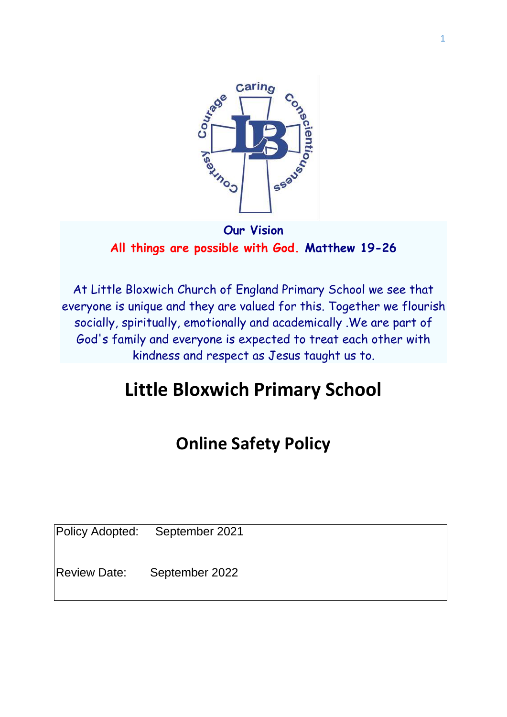

**Our Vision All things are possible with God. Matthew 19-26** 

At Little Bloxwich Church of England Primary School we see that everyone is unique and they are valued for this. Together we flourish socially, spiritually, emotionally and academically .We are part of God's family and everyone is expected to treat each other with kindness and respect as Jesus taught us to.

# **Little Bloxwich Primary School**

# **Online Safety Policy**

Policy Adopted: September 2021

Review Date: September 2022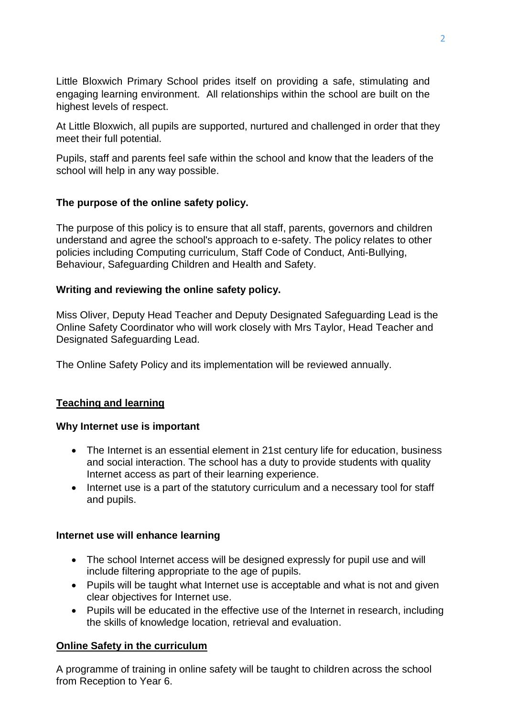Little Bloxwich Primary School prides itself on providing a safe, stimulating and engaging learning environment. All relationships within the school are built on the highest levels of respect.

At Little Bloxwich, all pupils are supported, nurtured and challenged in order that they meet their full potential.

Pupils, staff and parents feel safe within the school and know that the leaders of the school will help in any way possible.

## **The purpose of the online safety policy.**

The purpose of this policy is to ensure that all staff, parents, governors and children understand and agree the school's approach to e-safety. The policy relates to other policies including Computing curriculum, Staff Code of Conduct, Anti-Bullying, Behaviour, Safeguarding Children and Health and Safety.

#### **Writing and reviewing the online safety policy.**

Miss Oliver, Deputy Head Teacher and Deputy Designated Safeguarding Lead is the Online Safety Coordinator who will work closely with Mrs Taylor, Head Teacher and Designated Safeguarding Lead.

The Online Safety Policy and its implementation will be reviewed annually.

## **Teaching and learning**

#### **Why Internet use is important**

- The Internet is an essential element in 21st century life for education, business and social interaction. The school has a duty to provide students with quality Internet access as part of their learning experience.
- Internet use is a part of the statutory curriculum and a necessary tool for staff and pupils.

#### **Internet use will enhance learning**

- The school Internet access will be designed expressly for pupil use and will include filtering appropriate to the age of pupils.
- Pupils will be taught what Internet use is acceptable and what is not and given clear objectives for Internet use.
- Pupils will be educated in the effective use of the Internet in research, including the skills of knowledge location, retrieval and evaluation.

## **Online Safety in the curriculum**

A programme of training in online safety will be taught to children across the school from Reception to Year 6.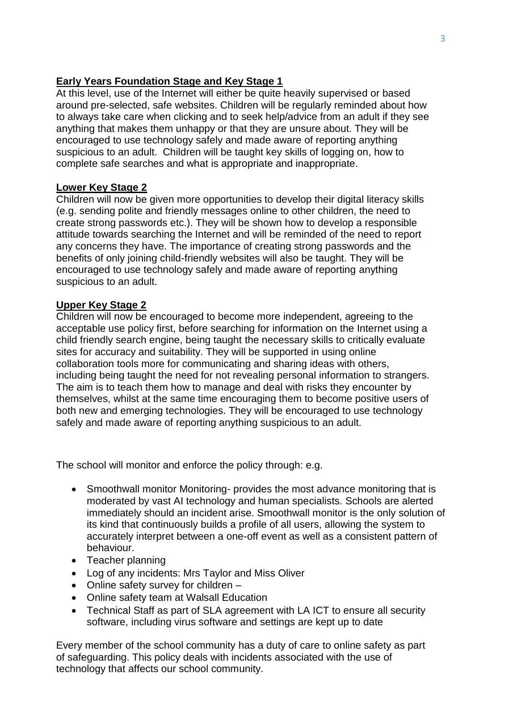#### **Early Years Foundation Stage and Key Stage 1**

At this level, use of the Internet will either be quite heavily supervised or based around pre-selected, safe websites. Children will be regularly reminded about how to always take care when clicking and to seek help/advice from an adult if they see anything that makes them unhappy or that they are unsure about. They will be encouraged to use technology safely and made aware of reporting anything suspicious to an adult. Children will be taught key skills of logging on, how to complete safe searches and what is appropriate and inappropriate.

#### **Lower Key Stage 2**

Children will now be given more opportunities to develop their digital literacy skills (e.g. sending polite and friendly messages online to other children, the need to create strong passwords etc.). They will be shown how to develop a responsible attitude towards searching the Internet and will be reminded of the need to report any concerns they have. The importance of creating strong passwords and the benefits of only joining child-friendly websites will also be taught. They will be encouraged to use technology safely and made aware of reporting anything suspicious to an adult.

#### **Upper Key Stage 2**

Children will now be encouraged to become more independent, agreeing to the acceptable use policy first, before searching for information on the Internet using a child friendly search engine, being taught the necessary skills to critically evaluate sites for accuracy and suitability. They will be supported in using online collaboration tools more for communicating and sharing ideas with others, including being taught the need for not revealing personal information to strangers. The aim is to teach them how to manage and deal with risks they encounter by themselves, whilst at the same time encouraging them to become positive users of both new and emerging technologies. They will be encouraged to use technology safely and made aware of reporting anything suspicious to an adult.

The school will monitor and enforce the policy through: e.g.

- Smoothwall monitor Monitoring- provides the most advance monitoring that is moderated by vast AI technology and human specialists. Schools are alerted immediately should an incident arise. Smoothwall monitor is the only solution of its kind that continuously builds a profile of all users, allowing the system to accurately interpret between a one-off event as well as a consistent pattern of behaviour.
- Teacher planning
- Log of any incidents: Mrs Taylor and Miss Oliver
- Online safety survey for children -
- Online safety team at Walsall Education
- Technical Staff as part of SLA agreement with LA ICT to ensure all security software, including virus software and settings are kept up to date

Every member of the school community has a duty of care to online safety as part of safeguarding. This policy deals with incidents associated with the use of technology that affects our school community.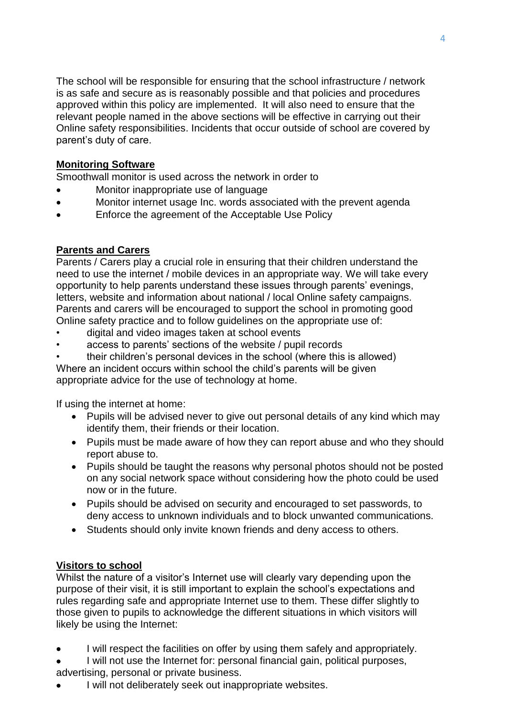The school will be responsible for ensuring that the school infrastructure / network is as safe and secure as is reasonably possible and that policies and procedures approved within this policy are implemented. It will also need to ensure that the relevant people named in the above sections will be effective in carrying out their Online safety responsibilities. Incidents that occur outside of school are covered by parent's duty of care.

## **Monitoring Software**

Smoothwall monitor is used across the network in order to

- Monitor inappropriate use of language
- Monitor internet usage Inc. words associated with the prevent agenda
- Enforce the agreement of the Acceptable Use Policy

# **Parents and Carers**

Parents / Carers play a crucial role in ensuring that their children understand the need to use the internet / mobile devices in an appropriate way. We will take every opportunity to help parents understand these issues through parents' evenings, letters, website and information about national / local Online safety campaigns. Parents and carers will be encouraged to support the school in promoting good Online safety practice and to follow guidelines on the appropriate use of:

- digital and video images taken at school events
- access to parents' sections of the website / pupil records
- their children's personal devices in the school (where this is allowed)

Where an incident occurs within school the child's parents will be given appropriate advice for the use of technology at home.

If using the internet at home:

- Pupils will be advised never to give out personal details of any kind which may identify them, their friends or their location.
- Pupils must be made aware of how they can report abuse and who they should report abuse to.
- Pupils should be taught the reasons why personal photos should not be posted on any social network space without considering how the photo could be used now or in the future.
- Pupils should be advised on security and encouraged to set passwords, to deny access to unknown individuals and to block unwanted communications.
- Students should only invite known friends and deny access to others.

# **Visitors to school**

Whilst the nature of a visitor's Internet use will clearly vary depending upon the purpose of their visit, it is still important to explain the school's expectations and rules regarding safe and appropriate Internet use to them. These differ slightly to those given to pupils to acknowledge the different situations in which visitors will likely be using the Internet:

I will respect the facilities on offer by using them safely and appropriately.

 I will not use the Internet for: personal financial gain, political purposes, advertising, personal or private business.

I will not deliberately seek out inappropriate websites.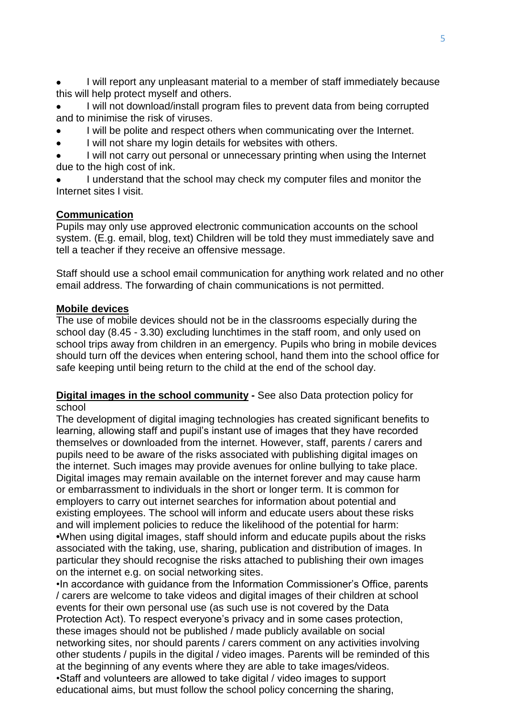I will report any unpleasant material to a member of staff immediately because this will help protect myself and others.

 I will not download/install program files to prevent data from being corrupted and to minimise the risk of viruses.

- I will be polite and respect others when communicating over the Internet.
- I will not share my login details for websites with others.

 I will not carry out personal or unnecessary printing when using the Internet due to the high cost of ink.

 I understand that the school may check my computer files and monitor the Internet sites I visit.

#### **Communication**

Pupils may only use approved electronic communication accounts on the school system. (E.g. email, blog, text) Children will be told they must immediately save and tell a teacher if they receive an offensive message.

Staff should use a school email communication for anything work related and no other email address. The forwarding of chain communications is not permitted.

#### **Mobile devices**

The use of mobile devices should not be in the classrooms especially during the school day (8.45 - 3.30) excluding lunchtimes in the staff room, and only used on school trips away from children in an emergency. Pupils who bring in mobile devices should turn off the devices when entering school, hand them into the school office for safe keeping until being return to the child at the end of the school day.

#### **Digital images in the school community -** See also Data protection policy for school

The development of digital imaging technologies has created significant benefits to learning, allowing staff and pupil's instant use of images that they have recorded themselves or downloaded from the internet. However, staff, parents / carers and pupils need to be aware of the risks associated with publishing digital images on the internet. Such images may provide avenues for online bullying to take place. Digital images may remain available on the internet forever and may cause harm or embarrassment to individuals in the short or longer term. It is common for employers to carry out internet searches for information about potential and existing employees. The school will inform and educate users about these risks and will implement policies to reduce the likelihood of the potential for harm: **•**When using digital images, staff should inform and educate pupils about the risks associated with the taking, use, sharing, publication and distribution of images. In particular they should recognise the risks attached to publishing their own images on the internet e.g. on social networking sites.

•In accordance with guidance from the Information Commissioner's Office, parents / carers are welcome to take videos and digital images of their children at school events for their own personal use (as such use is not covered by the Data Protection Act). To respect everyone's privacy and in some cases protection, these images should not be published / made publicly available on social networking sites, nor should parents / carers comment on any activities involving other students / pupils in the digital / video images. Parents will be reminded of this at the beginning of any events where they are able to take images/videos. •Staff and volunteers are allowed to take digital / video images to support educational aims, but must follow the school policy concerning the sharing,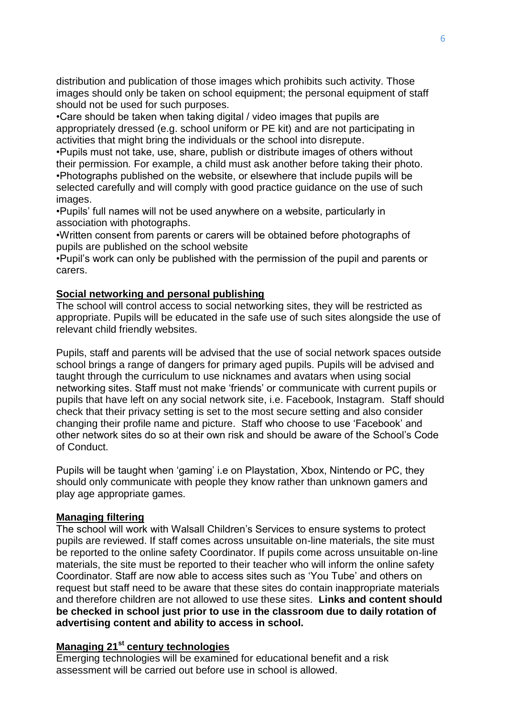distribution and publication of those images which prohibits such activity. Those images should only be taken on school equipment; the personal equipment of staff should not be used for such purposes.

•Care should be taken when taking digital / video images that pupils are appropriately dressed (e.g. school uniform or PE kit) and are not participating in activities that might bring the individuals or the school into disrepute.

•Pupils must not take, use, share, publish or distribute images of others without their permission*.* For example, a child must ask another before taking their photo. •Photographs published on the website, or elsewhere that include pupils will be selected carefully and will comply with good practice guidance on the use of such images.

•Pupils' full names will not be used anywhere on a website, particularly in association with photographs.

•Written consent from parents or carers will be obtained before photographs of pupils are published on the school website

•Pupil's work can only be published with the permission of the pupil and parents or carers.

#### **Social networking and personal publishing**

The school will control access to social networking sites, they will be restricted as appropriate. Pupils will be educated in the safe use of such sites alongside the use of relevant child friendly websites.

Pupils, staff and parents will be advised that the use of social network spaces outside school brings a range of dangers for primary aged pupils. Pupils will be advised and taught through the curriculum to use nicknames and avatars when using social networking sites. Staff must not make 'friends' or communicate with current pupils or pupils that have left on any social network site, i.e. Facebook, Instagram. Staff should check that their privacy setting is set to the most secure setting and also consider changing their profile name and picture. Staff who choose to use 'Facebook' and other network sites do so at their own risk and should be aware of the School's Code of Conduct.

Pupils will be taught when 'gaming' i.e on Playstation, Xbox, Nintendo or PC, they should only communicate with people they know rather than unknown gamers and play age appropriate games.

#### **Managing filtering**

The school will work with Walsall Children's Services to ensure systems to protect pupils are reviewed. If staff comes across unsuitable on-line materials, the site must be reported to the online safety Coordinator. If pupils come across unsuitable on-line materials, the site must be reported to their teacher who will inform the online safety Coordinator. Staff are now able to access sites such as 'You Tube' and others on request but staff need to be aware that these sites do contain inappropriate materials and therefore children are not allowed to use these sites. **Links and content should be checked in school just prior to use in the classroom due to daily rotation of advertising content and ability to access in school.**

#### **Managing 21st century technologies**

Emerging technologies will be examined for educational benefit and a risk assessment will be carried out before use in school is allowed.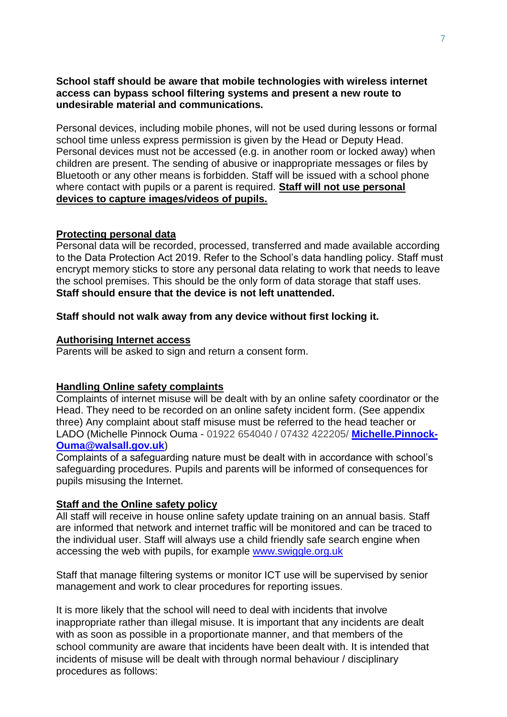#### **School staff should be aware that mobile technologies with wireless internet access can bypass school filtering systems and present a new route to undesirable material and communications.**

Personal devices, including mobile phones, will not be used during lessons or formal school time unless express permission is given by the Head or Deputy Head. Personal devices must not be accessed (e.g. in another room or locked away) when children are present. The sending of abusive or inappropriate messages or files by Bluetooth or any other means is forbidden. Staff will be issued with a school phone where contact with pupils or a parent is required. **Staff will not use personal devices to capture images/videos of pupils.**

#### **Protecting personal data**

Personal data will be recorded, processed, transferred and made available according to the Data Protection Act 2019. Refer to the School's data handling policy. Staff must encrypt memory sticks to store any personal data relating to work that needs to leave the school premises. This should be the only form of data storage that staff uses. **Staff should ensure that the device is not left unattended.** 

#### **Staff should not walk away from any device without first locking it.**

#### **Authorising Internet access**

Parents will be asked to sign and return a consent form.

#### **Handling Online safety complaints**

Complaints of internet misuse will be dealt with by an online safety coordinator or the Head. They need to be recorded on an online safety incident form. (See appendix three) Any complaint about staff misuse must be referred to the head teacher or LADO (Michelle Pinnock Ouma - 01922 654040 / 07432 422205/ **[Michelle.Pinnock-](mailto:Michelle.Pinnock-Ouma@walsall.gov.uk)[Ouma@walsall.gov.uk](mailto:Michelle.Pinnock-Ouma@walsall.gov.uk)**)

Complaints of a safeguarding nature must be dealt with in accordance with school's safeguarding procedures. Pupils and parents will be informed of consequences for pupils misusing the Internet.

#### **Staff and the Online safety policy**

All staff will receive in house online safety update training on an annual basis. Staff are informed that network and internet traffic will be monitored and can be traced to the individual user. Staff will always use a child friendly safe search engine when accessing the web with pupils, for example [www.swiggle.org.uk](file://vmps-edcfiler01/Information%20Services$/ICT%20Curriculum%20Team/1Online%20Safety%20-%20Nicola/Schools/Online%20Safety%20policy/Policies%20created%20with%20schools/Little%20Bloxwich/www.swiggle.org.uk)

Staff that manage filtering systems or monitor ICT use will be supervised by senior management and work to clear procedures for reporting issues.

It is more likely that the school will need to deal with incidents that involve inappropriate rather than illegal misuse. It is important that any incidents are dealt with as soon as possible in a proportionate manner, and that members of the school community are aware that incidents have been dealt with. It is intended that incidents of misuse will be dealt with through normal behaviour / disciplinary procedures as follows: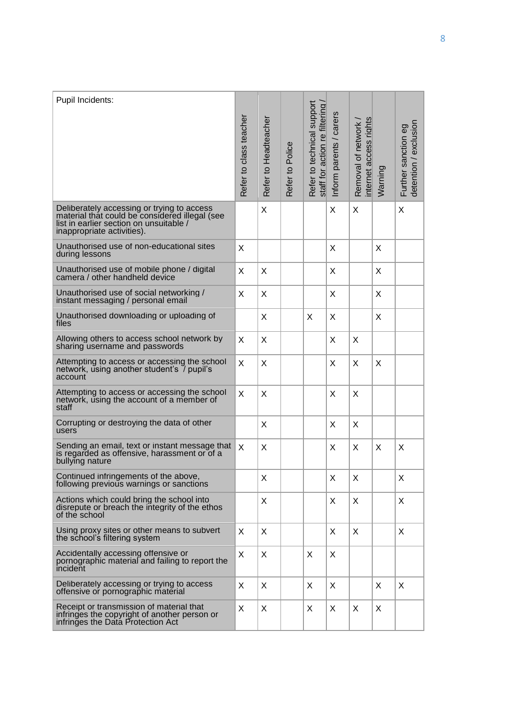| Pupil Incidents:                                                                                                                                                      | Refer to class teacher | Refer to Headteacher | Refer to Police | Refer to technical support<br>staff for action re filtering | Inform parents / carers | rights<br>Removal of network<br>internet access | Warning | detention / exclusion<br>Further sanction eg |
|-----------------------------------------------------------------------------------------------------------------------------------------------------------------------|------------------------|----------------------|-----------------|-------------------------------------------------------------|-------------------------|-------------------------------------------------|---------|----------------------------------------------|
| Deliberately accessing or trying to access<br>material that could be considered illegal (see<br>list in earlier section on unsuitable /<br>inappropriate activities). |                        | X                    |                 |                                                             | X                       | X                                               |         | X                                            |
| Unauthorised use of non-educational sites<br>during lessons                                                                                                           | X                      |                      |                 |                                                             | X                       |                                                 | X       |                                              |
| Unauthorised use of mobile phone / digital<br>camera / other handheld device                                                                                          | X                      | X                    |                 |                                                             | X                       |                                                 | X       |                                              |
| Unauthorised use of social networking /<br>instant messaging / personal email                                                                                         | X                      | X                    |                 |                                                             | X                       |                                                 | X       |                                              |
| Unauthorised downloading or uploading of<br>files                                                                                                                     |                        | X                    |                 | X                                                           | X                       |                                                 | X       |                                              |
| Allowing others to access school network by<br>sharing username and passwords                                                                                         | X                      | X                    |                 |                                                             | X                       | X                                               |         |                                              |
| Attempting to access or accessing the school<br>network, using another student's / pupil's<br>account                                                                 | X                      | X                    |                 |                                                             | X                       | X                                               | X       |                                              |
| Attempting to access or accessing the school<br>network, using the account of a member of<br>staff                                                                    | X                      | X                    |                 |                                                             | X                       | X                                               |         |                                              |
| Corrupting or destroying the data of other<br>users                                                                                                                   |                        | X                    |                 |                                                             | X                       | X                                               |         |                                              |
| Sending an email, text or instant message that<br>is regarded as offensive, harassment or of a<br>bullying nature                                                     | X                      | X                    |                 |                                                             | X                       | X                                               | X       | X                                            |
| Continued infringements of the above,<br>following previous warnings or sanctions                                                                                     |                        | X                    |                 |                                                             | X                       | X                                               |         | X                                            |
| Actions which could bring the school into<br>disrepute or breach the integrity of the ethos<br>of the school                                                          |                        | X                    |                 |                                                             | X                       | X                                               |         | X                                            |
| Using proxy sites or other means to subvert<br>the school's filtering system                                                                                          | X                      | X                    |                 |                                                             | X                       | X                                               |         | X                                            |
| Accidentally accessing offensive or<br>pornographic material and failing to report the<br>incident                                                                    | X                      | X                    |                 | X                                                           | X                       |                                                 |         |                                              |
| Deliberately accessing or trying to access<br>offensive or pornographic material                                                                                      | X                      | X                    |                 | X                                                           | X                       |                                                 | X       | X                                            |
| Receipt or transmission of material that<br>infringes the copyright of another person or<br>infringes the Data Protection Act                                         | X                      | X                    |                 | X                                                           | X                       | X                                               | X       |                                              |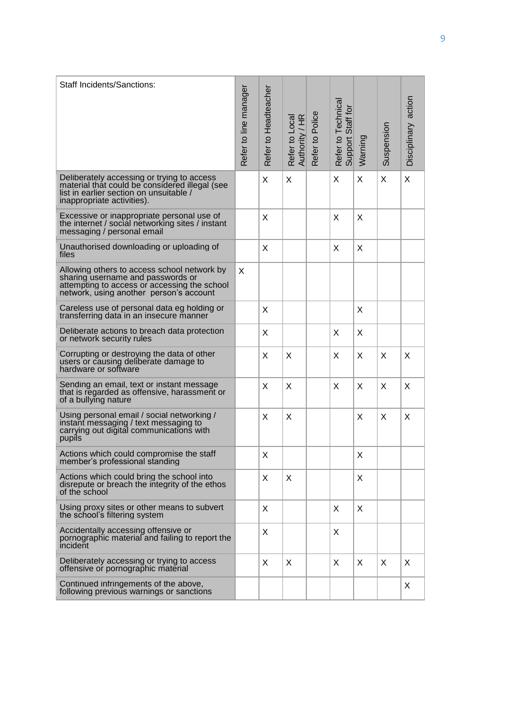| <b>Staff Incidents/Sanctions:</b>                                                                                                                                           | Refer to line manager | Refer to Headteacher | Refer to Local<br>Authority / HR | Refer to Police | Refer to Technical<br>Support Staff for | Warning | Suspension | Disciplinary action |
|-----------------------------------------------------------------------------------------------------------------------------------------------------------------------------|-----------------------|----------------------|----------------------------------|-----------------|-----------------------------------------|---------|------------|---------------------|
| Deliberately accessing or trying to access<br>material that could be considered illegal (see<br>list in earlier section on unsuitable /<br>inappropriate activities).       |                       | X                    | X                                |                 | X                                       | X       | X          | X                   |
| Excessive or inappropriate personal use of<br>the internet / social networking sites / instant<br>messaging / personal email                                                |                       | X                    |                                  |                 | X                                       | X       |            |                     |
| Unauthorised downloading or uploading of<br>files                                                                                                                           |                       | X                    |                                  |                 | X                                       | X       |            |                     |
| Allowing others to access school network by<br>sharing username and passwords or<br>attempting to access or accessing the school<br>network, using another person's account | X                     |                      |                                  |                 |                                         |         |            |                     |
| Careless use of personal data eg holding or<br>transferring data in an insecure manner                                                                                      |                       | X                    |                                  |                 |                                         | X       |            |                     |
| Deliberate actions to breach data protection<br>or network security rules                                                                                                   |                       | X                    |                                  |                 | X                                       | X       |            |                     |
| Corrupting or destroying the data of other<br>users or causing deliberate damage to<br>hardware or software                                                                 |                       | X                    | X                                |                 | X                                       | X       | X          | X                   |
| Sending an email, text or instant message<br>that is regarded as offensive, harassment or<br>of a bullying nature                                                           |                       | X                    | X                                |                 | X                                       | X       | X          | X                   |
| Using personal email / social networking /<br>instant messaging / text messaging to<br>carrying out digital communications with<br>pupils                                   |                       | X                    | X                                |                 |                                         | X       | X          | X                   |
| Actions which could compromise the staff<br>member's professional standing                                                                                                  |                       | Χ                    |                                  |                 |                                         | X       |            |                     |
| Actions which could bring the school into<br>disrepute or breach the integrity of the ethos<br>of the school                                                                |                       | X                    | X                                |                 |                                         | X       |            |                     |
| Using proxy sites or other means to subvert<br>the school's filtering system                                                                                                |                       | X                    |                                  |                 | X                                       | X       |            |                     |
| Accidentally accessing offensive or<br>pornographic material and failing to report the<br>incident                                                                          |                       | X                    |                                  |                 | X                                       |         |            |                     |
| Deliberately accessing or trying to access<br>offensive or pornographic material                                                                                            |                       | X                    | X                                |                 | X                                       | X       | X          | X                   |
| Continued infringements of the above,<br>following previous warnings or sanctions                                                                                           |                       |                      |                                  |                 |                                         |         |            | X.                  |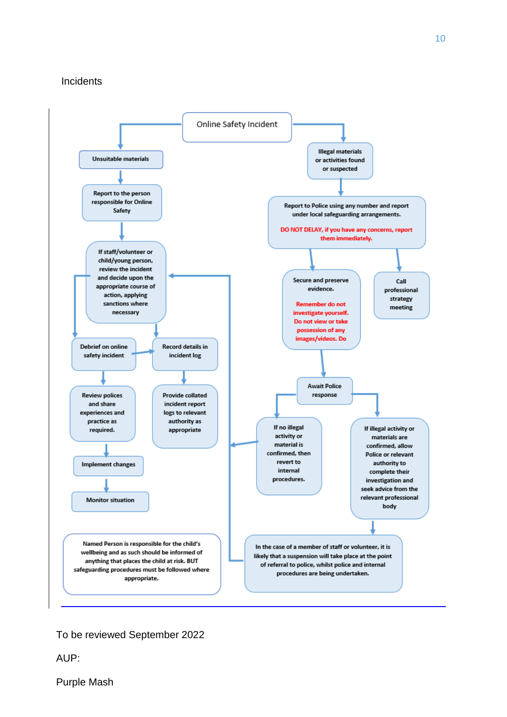#### **Incidents**



#### To be reviewed September 2022

AUP:

Purple Mash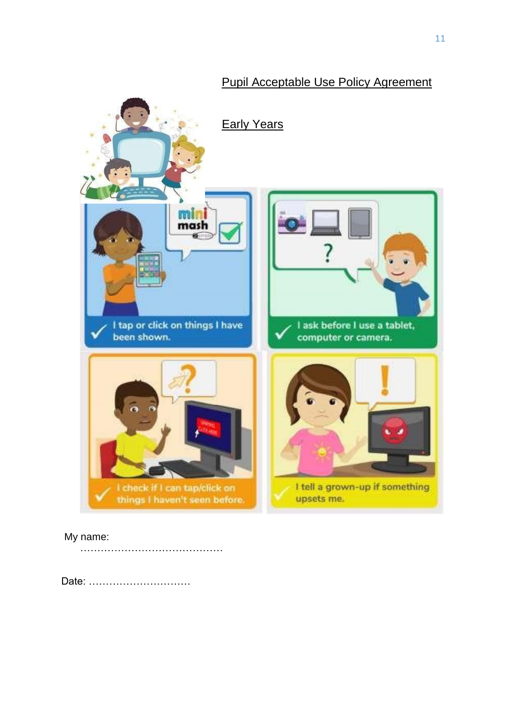

# Pupil Acceptable Use Policy Agreement

## My name:

……………………………………

Date: …………………………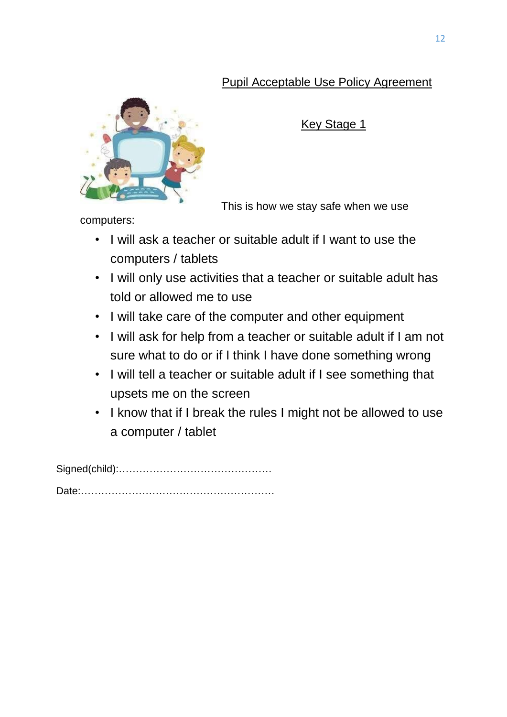# Pupil Acceptable Use Policy Agreement



Key Stage 1

This is how we stay safe when we use

computers:

- I will ask a teacher or suitable adult if I want to use the computers / tablets
- I will only use activities that a teacher or suitable adult has told or allowed me to use
- I will take care of the computer and other equipment
- I will ask for help from a teacher or suitable adult if I am not sure what to do or if I think I have done something wrong
- I will tell a teacher or suitable adult if I see something that upsets me on the screen
- I know that if I break the rules I might not be allowed to use a computer / tablet

Signed(child):………………………………………

Date:…………………………………………………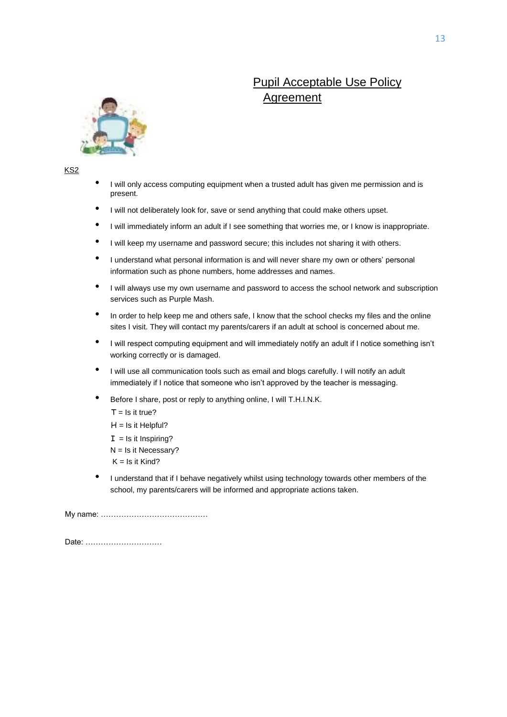# Pupil Acceptable Use Policy Agreement



KS2

- I will only access computing equipment when a trusted adult has given me permission and is present.
- I will not deliberately look for, save or send anything that could make others upset.
- I will immediately inform an adult if I see something that worries me, or I know is inappropriate.
- I will keep my username and password secure; this includes not sharing it with others.
- I understand what personal information is and will never share my own or others' personal information such as phone numbers, home addresses and names.
- I will always use my own username and password to access the school network and subscription services such as Purple Mash.
- In order to help keep me and others safe, I know that the school checks my files and the online sites I visit. They will contact my parents/carers if an adult at school is concerned about me.
- I will respect computing equipment and will immediately notify an adult if I notice something isn't working correctly or is damaged.
- I will use all communication tools such as email and blogs carefully. I will notify an adult immediately if I notice that someone who isn't approved by the teacher is messaging.
- Before I share, post or reply to anything online, I will T.H.I.N.K.
	- $T = Is it true?$
	- $H = Is$  it Helpful?
	- $I =$  Is it Inspiring?
	- $N = Is$  it Necessary?
	- $K = Is$  it Kind?
- I understand that if I behave negatively whilst using technology towards other members of the school, my parents/carers will be informed and appropriate actions taken.

My name: ……………………………………

Date: …………………………